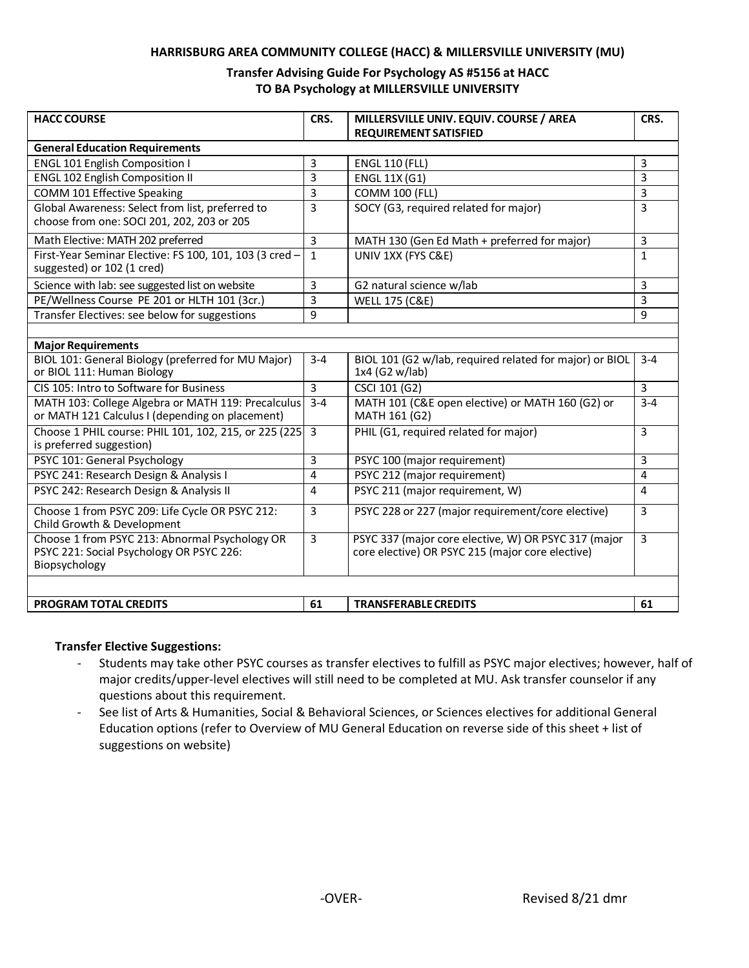### **HARRISBURG AREA COMMUNITY COLLEGE (HACC) & MILLERSVILLE UNIVERSITY (MU)**

## **Transfer Advising Guide For Psychology AS #5156 at HACC TO BA Psychology at MILLERSVILLE UNIVERSITY**

| <b>HACC COURSE</b>                                                                                          | CRS.           | MILLERSVILLE UNIV. EQUIV. COURSE / AREA<br><b>REQUIREMENT SATISFIED</b>                                  | CRS.           |
|-------------------------------------------------------------------------------------------------------------|----------------|----------------------------------------------------------------------------------------------------------|----------------|
| <b>General Education Requirements</b>                                                                       |                |                                                                                                          |                |
| <b>ENGL 101 English Composition I</b>                                                                       | 3              | <b>ENGL 110 (FLL)</b>                                                                                    | 3              |
| <b>ENGL 102 English Composition II</b>                                                                      | 3              | <b>ENGL 11X (G1)</b>                                                                                     | 3              |
| <b>COMM 101 Effective Speaking</b>                                                                          | 3              | <b>COMM 100 (FLL)</b>                                                                                    | $\overline{3}$ |
| Global Awareness: Select from list, preferred to                                                            | 3              | SOCY (G3, required related for major)                                                                    | 3              |
| choose from one: SOCI 201, 202, 203 or 205                                                                  |                |                                                                                                          |                |
| Math Elective: MATH 202 preferred                                                                           | 3              | MATH 130 (Gen Ed Math + preferred for major)                                                             | 3              |
| First-Year Seminar Elective: FS 100, 101, 103 (3 cred -<br>suggested) or 102 (1 cred)                       | $\mathbf{1}$   | UNIV 1XX (FYS C&E)                                                                                       | $\mathbf{1}$   |
| Science with lab: see suggested list on website                                                             | 3              | G2 natural science w/lab                                                                                 | 3              |
| PE/Wellness Course PE 201 or HLTH 101 (3cr.)                                                                | 3              | <b>WELL 175 (C&amp;E)</b>                                                                                | 3              |
| Transfer Electives: see below for suggestions                                                               | 9              |                                                                                                          | 9              |
|                                                                                                             |                |                                                                                                          |                |
| <b>Major Requirements</b>                                                                                   |                |                                                                                                          |                |
| BIOL 101: General Biology (preferred for MU Major)<br>or BIOL 111: Human Biology                            | $3 - 4$        | BIOL 101 (G2 w/lab, required related for major) or BIOL<br>1x4 (G2 w/lab)                                | $3 - 4$        |
| CIS 105: Intro to Software for Business                                                                     | $\overline{3}$ | CSCI 101 (G2)                                                                                            | $\overline{3}$ |
| MATH 103: College Algebra or MATH 119: Precalculus<br>or MATH 121 Calculus I (depending on placement)       | $3 - 4$        | MATH 101 (C&E open elective) or MATH 160 (G2) or<br>MATH 161 (G2)                                        | $3 - 4$        |
| Choose 1 PHIL course: PHIL 101, 102, 215, or 225 (225)<br>is preferred suggestion)                          | $\overline{3}$ | PHIL (G1, required related for major)                                                                    | 3              |
| PSYC 101: General Psychology                                                                                | 3              | PSYC 100 (major requirement)                                                                             | 3              |
| PSYC 241: Research Design & Analysis I                                                                      | 4              | PSYC 212 (major requirement)                                                                             | $\overline{4}$ |
| PSYC 242: Research Design & Analysis II                                                                     | 4              | PSYC 211 (major requirement, W)                                                                          | 4              |
| Choose 1 from PSYC 209: Life Cycle OR PSYC 212:<br>Child Growth & Development                               | 3              | PSYC 228 or 227 (major requirement/core elective)                                                        | 3              |
| Choose 1 from PSYC 213: Abnormal Psychology OR<br>PSYC 221: Social Psychology OR PSYC 226:<br>Biopsychology | ن              | PSYC 337 (major core elective, W) OR PSYC 317 (major<br>core elective) OR PSYC 215 (major core elective) | $\overline{3}$ |
| <b>PROGRAM TOTAL CREDITS</b>                                                                                | 61             | <b>TRANSFERABLE CREDITS</b>                                                                              | 61             |

#### **Transfer Elective Suggestions:**

- Students may take other PSYC courses as transfer electives to fulfill as PSYC major electives; however, half of major credits/upper-level electives will still need to be completed at MU. Ask transfer counselor if any questions about this requirement.
- See list of Arts & Humanities, Social & Behavioral Sciences, or Sciences electives for additional General Education options (refer to Overview of MU General Education on reverse side of this sheet + list of suggestions on website)